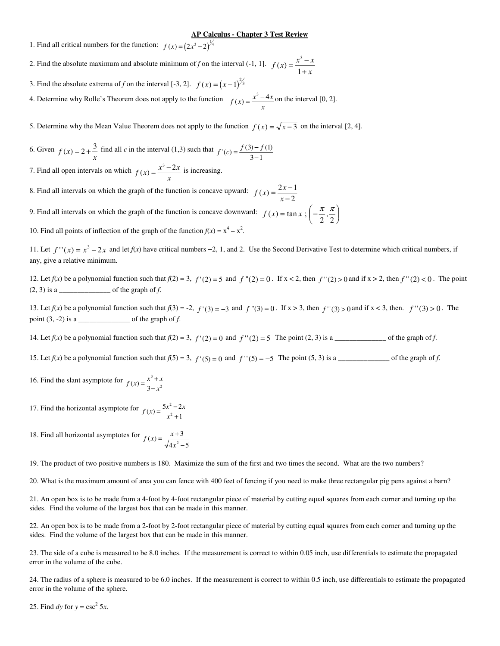## **AP Calculus - Chapter 3 Test Review**

1. Find all critical numbers for the function:  $f(x) = (2x^3 - 2)^{\frac{1}{4}}$ 

- 2. Find the absolute maximum and absolute minimum of *f* on the interval (-1, 1].  $f(x) = \frac{x^3 x}{4}$  $f(x) = \frac{x^3 - 3}{1 + x}$ + 1
- 3. Find the absolute extrema of *f* on the interval [-3, 2].  $f(x) = (x-1)^{2/3}$

4. Determine why Rolle's Theorem does not apply to the function  $f(x) = \frac{x^3 - 4x}{x^2 - 4x}$  $f(x) = \frac{x^3 - 4x}{x}$  on the interval [0, 2].

5. Determine why the Mean Value Theorem does not apply to the function  $f(x) = \sqrt{x-3}$  on the interval [2, 4].

6. Given  $f(x) = 2 + \frac{3}{x}$  find all *c* in the interval (1,3) such that  $f'(c) = \frac{f(3) - f(1)}{3 - 1}$ −  $3) - f(1)$  $3 - 1$ 

7. Find all open intervals on which  $f(x) = \frac{x^3 - 2x}{x^3}$  $f(x) = \frac{x^3 - 2x}{x}$  is increasing.

8. Find all intervals on which the graph of the function is concave upward:  $f(x) = \frac{2x}{x}$  $f(x) = \frac{2x-2}{x-2}$ −  $2x - 1$ 2 9. Find all intervals on which the graph of the function is concave downward:  $f(x) = \tan x$ ;  $\left(-\frac{\pi}{2}, \frac{\pi}{2}\right)$  $\overline{1}$  $\big($  $\sqrt{\frac{1}{2}}$ π π  $2^{\degree}2$ 

10. Find all points of inflection of the graph of the function  $f(x) = x^4 - x^2$ .

11. Let  $f''(x) = x^3 - 2x$  and let  $f(x)$  have critical numbers −2, 1, and 2. Use the Second Derivative Test to determine which critical numbers, if any, give a relative minimum.

 $\overline{a}$ J  $\sum_{i=1}^{n}$ 

12. Let  $f(x)$  be a polynomial function such that  $f(2) = 3$ ,  $f'(2) = 5$  and  $f''(2) = 0$ . If  $x < 2$ , then  $f''(2) > 0$  and if  $x > 2$ , then  $f''(2) < 0$ . The point  $(2, 3)$  is a  $\frac{1}{\sqrt{2}}$  of the graph of *f*.

13. Let  $f(x)$  be a polynomial function such that  $f(3) = -2$ ,  $f'(3) = -3$  and  $f''(3) = 0$ . If  $x > 3$ , then  $f''(3) > 0$  and if  $x < 3$ , then.  $f''(3) > 0$ . The point (3, -2) is a \_\_\_\_\_\_\_\_\_\_\_\_\_\_ of the graph of *f*.

14. Let  $f(x)$  be a polynomial function such that  $f(2) = 3$ ,  $f'(2) = 0$  and  $f''(2) = 5$ . The point (2, 3) is a \_\_\_\_\_\_\_\_\_\_\_\_\_\_\_\_ of the graph of *f*.

15. Let  $f(x)$  be a polynomial function such that  $f(5) = 3$ ,  $f'(5) = 0$  and  $f''(5) = -5$  The point (5, 3) is a \_\_\_\_\_\_\_\_\_\_\_\_\_\_\_\_\_\_ of the graph of *f*.

16. Find the slant asymptote for  $f(x) = \frac{x^3 + x}{2}$  $f(x) = \frac{x^3 + 3}{3 - x}$ − 3  $3 - x^2$ 

17. Find the horizontal asymptote for  $f(x) = \frac{5x^2 - 2x}{x^2 + 2x}$  $f(x) = \frac{5x^2 - 1}{x^2 + 1}$ +  $5x^2 - 2$ 1 2

18. Find all horizontal asymptotes for  $f(x) = \frac{x}{x}$ *x*  $f(x) = \frac{x+1}{\sqrt{2}}$ − 3  $4x^2 - 5$ 

19. The product of two positive numbers is 180. Maximize the sum of the first and two times the second. What are the two numbers?

20. What is the maximum amount of area you can fence with 400 feet of fencing if you need to make three rectangular pig pens against a barn?

21. An open box is to be made from a 4-foot by 4-foot rectangular piece of material by cutting equal squares from each corner and turning up the sides. Find the volume of the largest box that can be made in this manner.

22. An open box is to be made from a 2-foot by 2-foot rectangular piece of material by cutting equal squares from each corner and turning up the sides. Find the volume of the largest box that can be made in this manner.

23. The side of a cube is measured to be 8.0 inches. If the measurement is correct to within 0.05 inch, use differentials to estimate the propagated error in the volume of the cube.

24. The radius of a sphere is measured to be 6.0 inches. If the measurement is correct to within 0.5 inch, use differentials to estimate the propagated error in the volume of the sphere.

25. Find *dy* for  $y = \csc^2 5x$ .